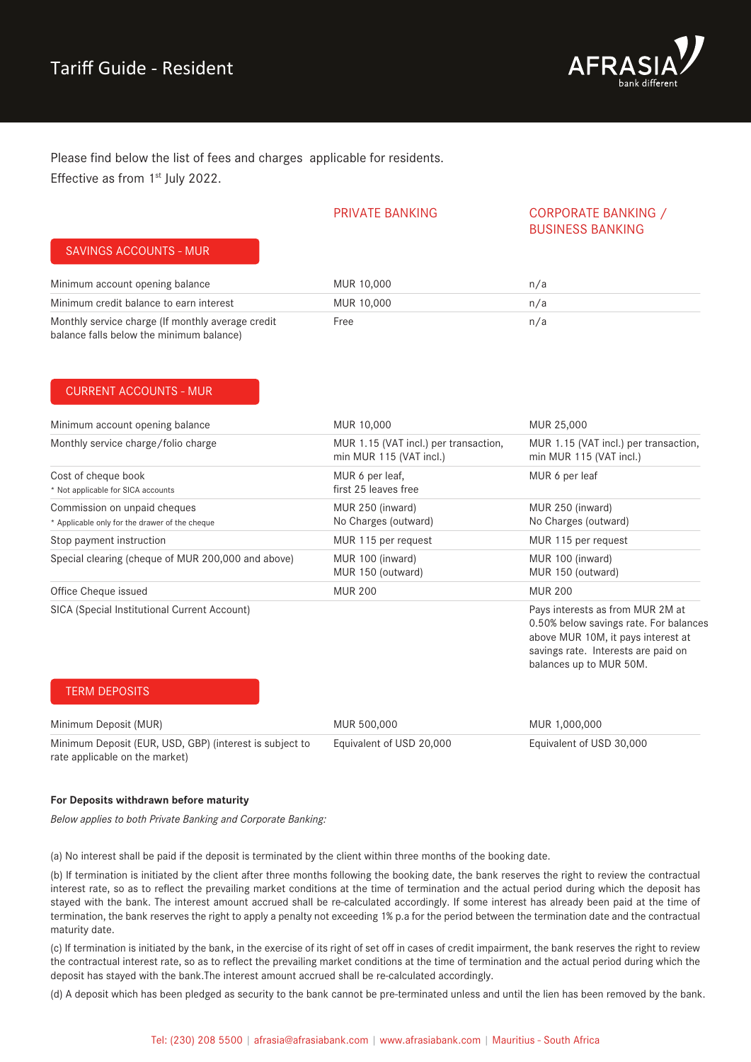

Please find below the list of fees and charges applicable for residents. Effective as from 1<sup>st</sup> July 2022.

### PRIVATE BANKING CORPORATE BANKING / BUSINESS BANKING

### SAVINGS ACCOUNTS - MUR

| Minimum account opening balance                                                               | MUR 10,000 | n/a |  |
|-----------------------------------------------------------------------------------------------|------------|-----|--|
| Minimum credit balance to earn interest                                                       | MUR 10,000 | n/a |  |
| Monthly service charge (If monthly average credit<br>balance falls below the minimum balance) | Free       | n/a |  |

### CURRENT ACCOUNTS - MUR

| Minimum account opening balance                                                | MUR 10,000                                                       | MUR 25,000                                                                                                                                                                         |
|--------------------------------------------------------------------------------|------------------------------------------------------------------|------------------------------------------------------------------------------------------------------------------------------------------------------------------------------------|
| Monthly service charge/folio charge                                            | MUR 1.15 (VAT incl.) per transaction,<br>min MUR 115 (VAT incl.) | MUR 1.15 (VAT incl.) per transaction,<br>min MUR 115 (VAT incl.)                                                                                                                   |
| Cost of cheque book<br>* Not applicable for SICA accounts                      | MUR 6 per leaf,<br>first 25 leaves free                          | MUR 6 per leaf                                                                                                                                                                     |
| Commission on unpaid cheques<br>* Applicable only for the drawer of the cheque | MUR 250 (inward)<br>No Charges (outward)                         | MUR 250 (inward)<br>No Charges (outward)                                                                                                                                           |
| Stop payment instruction                                                       | MUR 115 per request                                              | MUR 115 per request                                                                                                                                                                |
| Special clearing (cheque of MUR 200,000 and above)                             | MUR 100 (inward)<br>MUR 150 (outward)                            | MUR 100 (inward)<br>MUR 150 (outward)                                                                                                                                              |
| Office Cheque issued                                                           | <b>MUR 200</b>                                                   | <b>MUR 200</b>                                                                                                                                                                     |
| SICA (Special Institutional Current Account)                                   |                                                                  | Pays interests as from MUR 2M at<br>0.50% below savings rate. For balances<br>above MUR 10M, it pays interest at<br>savings rate. Interests are paid on<br>balances up to MUR 50M. |
| <b>TERM DEPOSITS</b>                                                           |                                                                  |                                                                                                                                                                                    |

Minimum Deposit (MUR) Minimum Deposit (EUR, USD, GBP) (interest is subject to rate applicable on the market) MUR 500,000 Equivalent of USD 20,000 MUR 1,000,000 Equivalent of USD 30,000

### **For Deposits withdrawn before maturity**

*Below applies to both Private Banking and Corporate Banking:* 

(a) No interest shall be paid if the deposit is terminated by the client within three months of the booking date.

(b) If termination is initiated by the client after three months following the booking date, the bank reserves the right to review the contractual interest rate, so as to reflect the prevailing market conditions at the time of termination and the actual period during which the deposit has stayed with the bank. The interest amount accrued shall be re-calculated accordingly. If some interest has already been paid at the time of termination, the bank reserves the right to apply a penalty not exceeding 1% p.a for the period between the termination date and the contractual maturity date.

(c) If termination is initiated by the bank, in the exercise of its right of set off in cases of credit impairment, the bank reserves the right to review the contractual interest rate, so as to reflect the prevailing market conditions at the time of termination and the actual period during which the deposit has stayed with the bank.The interest amount accrued shall be re-calculated accordingly.

(d) A deposit which has been pledged as security to the bank cannot be pre-terminated unless and until the lien has been removed by the bank.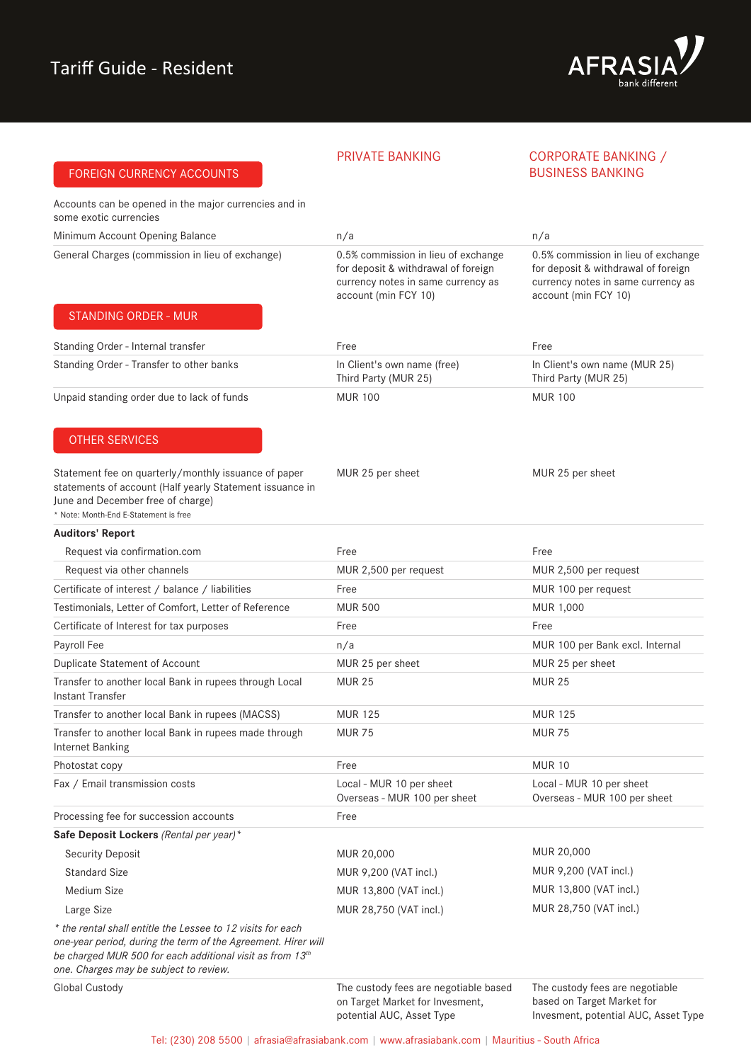FOREIGN CURRENCY ACCOUNTS



### PRIVATE BANKING CORPORATE BANKING / BUSINESS BANKING

Accounts can be opened in the major currencies and in some exotic currencies

| Minimum Account Opening Balance                                                                                                                                                                | n/a                                                                                                                                      | n/a                                                                                                                                      |
|------------------------------------------------------------------------------------------------------------------------------------------------------------------------------------------------|------------------------------------------------------------------------------------------------------------------------------------------|------------------------------------------------------------------------------------------------------------------------------------------|
| General Charges (commission in lieu of exchange)                                                                                                                                               | 0.5% commission in lieu of exchange<br>for deposit & withdrawal of foreign<br>currency notes in same currency as<br>account (min FCY 10) | 0.5% commission in lieu of exchange<br>for deposit & withdrawal of foreign<br>currency notes in same currency as<br>account (min FCY 10) |
| <b>STANDING ORDER - MUR</b>                                                                                                                                                                    |                                                                                                                                          |                                                                                                                                          |
| Standing Order - Internal transfer                                                                                                                                                             | Free                                                                                                                                     | Free                                                                                                                                     |
| Standing Order - Transfer to other banks                                                                                                                                                       | In Client's own name (free)<br>Third Party (MUR 25)                                                                                      | In Client's own name (MUR 25)<br>Third Party (MUR 25)                                                                                    |
| Unpaid standing order due to lack of funds                                                                                                                                                     | <b>MUR 100</b>                                                                                                                           | <b>MUR 100</b>                                                                                                                           |
| <b>OTHER SERVICES</b>                                                                                                                                                                          |                                                                                                                                          |                                                                                                                                          |
| Statement fee on quarterly/monthly issuance of paper<br>statements of account (Half yearly Statement issuance in<br>June and December free of charge)<br>* Note: Month-End E-Statement is free | MUR 25 per sheet                                                                                                                         | MUR 25 per sheet                                                                                                                         |
| <b>Auditors' Report</b>                                                                                                                                                                        |                                                                                                                                          |                                                                                                                                          |
| Request via confirmation.com                                                                                                                                                                   | Free                                                                                                                                     | Free                                                                                                                                     |
| Request via other channels                                                                                                                                                                     | MUR 2,500 per request                                                                                                                    | MUR 2,500 per request                                                                                                                    |
| Certificate of interest / balance / liabilities                                                                                                                                                | Free                                                                                                                                     | MUR 100 per request                                                                                                                      |
| Testimonials, Letter of Comfort, Letter of Reference                                                                                                                                           | <b>MUR 500</b>                                                                                                                           | MUR 1,000                                                                                                                                |
| Certificate of Interest for tax purposes                                                                                                                                                       | Free                                                                                                                                     | Free                                                                                                                                     |
| Payroll Fee                                                                                                                                                                                    | n/a                                                                                                                                      | MUR 100 per Bank excl. Internal                                                                                                          |
| Duplicate Statement of Account                                                                                                                                                                 | MUR 25 per sheet                                                                                                                         | MUR 25 per sheet                                                                                                                         |
| Transfer to another local Bank in rupees through Local<br>Instant Transfer                                                                                                                     | <b>MUR 25</b>                                                                                                                            | <b>MUR 25</b>                                                                                                                            |
| Transfer to another local Bank in rupees (MACSS)                                                                                                                                               | <b>MUR 125</b>                                                                                                                           | <b>MUR 125</b>                                                                                                                           |
| Transfer to another local Bank in rupees made through<br><b>Internet Banking</b>                                                                                                               | <b>MUR 75</b>                                                                                                                            | <b>MUR 75</b>                                                                                                                            |
| Photostat copy                                                                                                                                                                                 | Free                                                                                                                                     | <b>MUR 10</b>                                                                                                                            |
| Fax / Email transmission costs                                                                                                                                                                 | Local - MUR 10 per sheet<br>Overseas - MUR 100 per sheet                                                                                 | Local - MUR 10 per sheet<br>Overseas - MUR 100 per sheet                                                                                 |
| Processing fee for succession accounts                                                                                                                                                         | Free                                                                                                                                     |                                                                                                                                          |
| Safe Deposit Lockers (Rental per year)*                                                                                                                                                        |                                                                                                                                          |                                                                                                                                          |
| <b>Security Deposit</b>                                                                                                                                                                        | MUR 20,000                                                                                                                               | MUR 20,000                                                                                                                               |
| <b>Standard Size</b>                                                                                                                                                                           | MUR 9,200 (VAT incl.)                                                                                                                    | MUR 9,200 (VAT incl.)                                                                                                                    |
| Medium Size                                                                                                                                                                                    | MUR 13,800 (VAT incl.)                                                                                                                   | MUR 13,800 (VAT incl.)                                                                                                                   |
| Large Size                                                                                                                                                                                     | MUR 28,750 (VAT incl.)                                                                                                                   | MUR 28,750 (VAT incl.)                                                                                                                   |
| * the rental shall entitle the Lessee to 12 visits for each<br>one-year period, during the term of the Agreement. Hirer will                                                                   |                                                                                                                                          |                                                                                                                                          |

*be charged MUR 500 for each additional visit as from 13th* 

*one. Charges may be subject to review.* 

Global Custody

The custody fees are negotiable based on Target Market for Invesment, potential AUC, Asset Type

The custody fees are negotiable based on Target Market for Invesment, potential AUC, Asset Type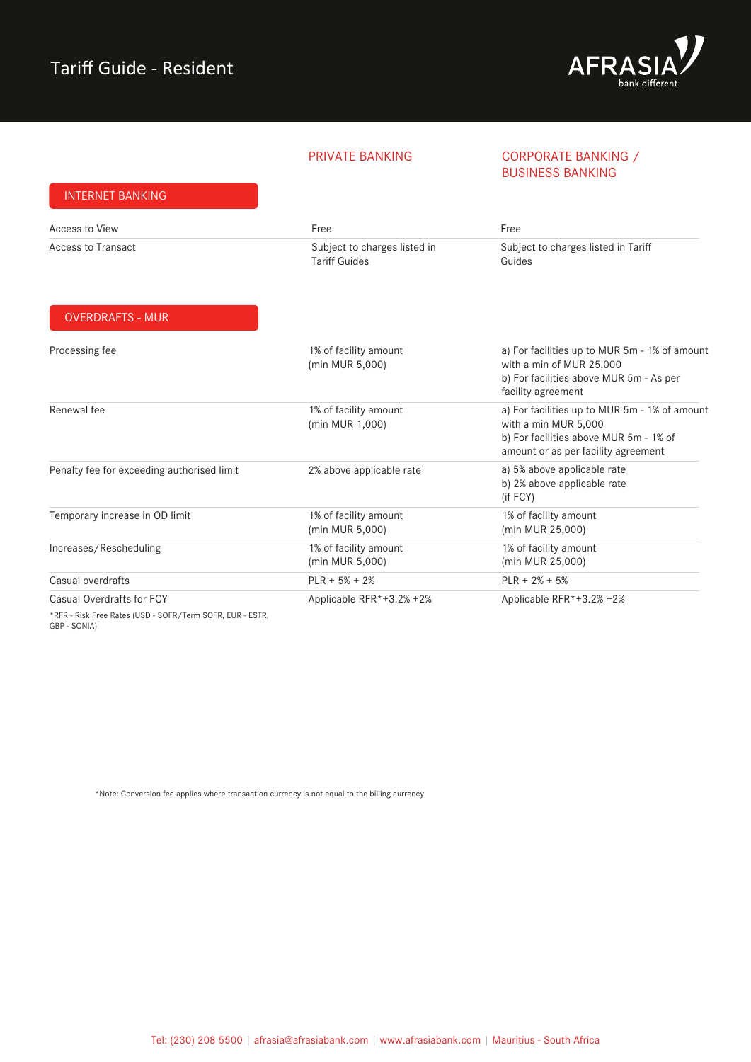INTERNET BANKING



### PRIVATE BANKING CORPORATE BANKING / BUSINESS BANKING

| <b>INTERNET DANNING</b>                                                                              |                                                      |                                                                                                                                                        |
|------------------------------------------------------------------------------------------------------|------------------------------------------------------|--------------------------------------------------------------------------------------------------------------------------------------------------------|
| Access to View                                                                                       | Free                                                 | Free                                                                                                                                                   |
| <b>Access to Transact</b>                                                                            | Subject to charges listed in<br><b>Tariff Guides</b> | Subject to charges listed in Tariff<br>Guides                                                                                                          |
| <b>OVERDRAFTS - MUR</b>                                                                              |                                                      |                                                                                                                                                        |
| Processing fee                                                                                       | 1% of facility amount<br>(min MUR 5,000)             | a) For facilities up to MUR 5m - 1% of amount<br>with a min of MUR 25,000<br>b) For facilities above MUR 5m - As per<br>facility agreement             |
| Renewal fee                                                                                          | 1% of facility amount<br>(min MUR 1,000)             | a) For facilities up to MUR 5m - 1% of amount<br>with a min MUR 5,000<br>b) For facilities above MUR 5m - 1% of<br>amount or as per facility agreement |
| Penalty fee for exceeding authorised limit                                                           | 2% above applicable rate                             | a) 5% above applicable rate<br>b) 2% above applicable rate<br>(if FCY)                                                                                 |
| Temporary increase in OD limit                                                                       | 1% of facility amount<br>(min MUR 5,000)             | 1% of facility amount<br>(min MUR 25,000)                                                                                                              |
| Increases/Rescheduling                                                                               | 1% of facility amount<br>(min MUR 5,000)             | 1% of facility amount<br>(min MUR 25,000)                                                                                                              |
| Casual overdrafts                                                                                    | $PLR + 5% + 2%$                                      | $PLR + 2% + 5%$                                                                                                                                        |
| Casual Overdrafts for FCY<br>*RFR - Risk Free Rates (USD - SOFR/Term SOFR, EUR - ESTR,<br>CDD CONINI | Applicable RFR*+3.2% +2%                             | Applicable RFR*+3.2% +2%                                                                                                                               |

GBP - SONIA)

\*Note: Conversion fee applies where transaction currency is not equal to the billing currency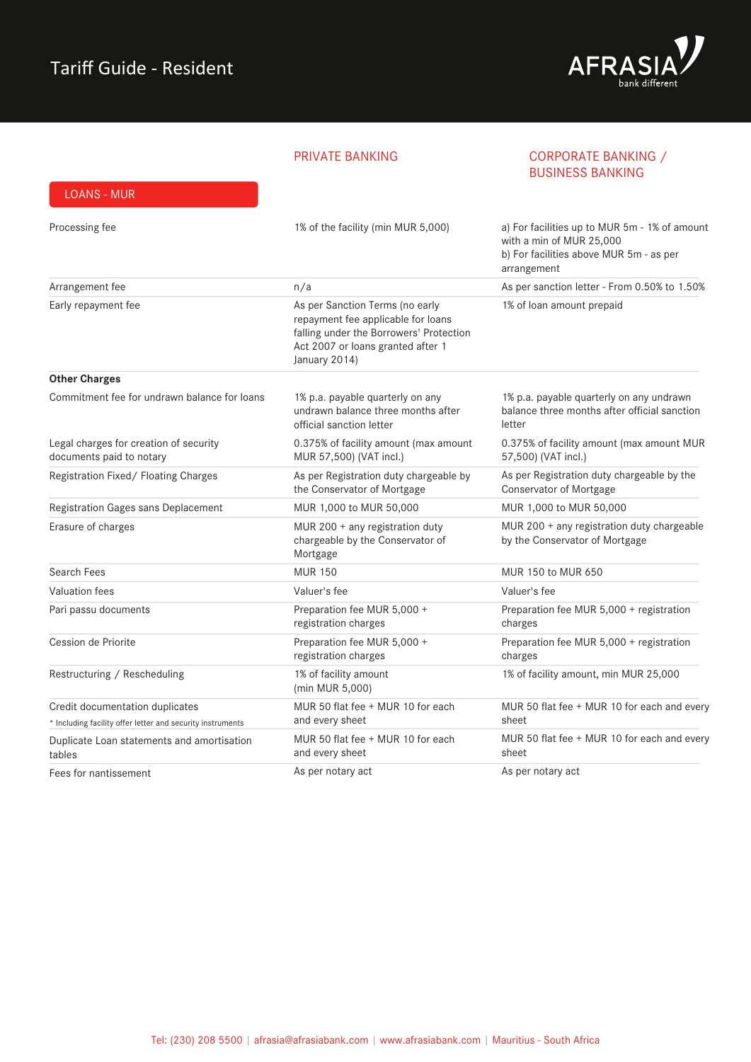

### PRIVATE BANKING

### CORPORATE BANKING / BUSINESS BANKING

| <b>LOANS - MUR</b>                                                 |                                                                                                                                                                        |                                                                                                                                     |
|--------------------------------------------------------------------|------------------------------------------------------------------------------------------------------------------------------------------------------------------------|-------------------------------------------------------------------------------------------------------------------------------------|
| Processing fee                                                     | 1% of the facility (min MUR 5,000)                                                                                                                                     | a) For facilities up to MUR 5m - 1% of amount<br>with a min of MUR 25,000<br>b) For facilities above MUR 5m - as per<br>arrangement |
| Arrangement fee                                                    | n/a                                                                                                                                                                    | As per sanction letter - From 0.50% to 1.50%                                                                                        |
| Early repayment fee                                                | As per Sanction Terms (no early<br>repayment fee applicable for loans<br>falling under the Borrowers' Protection<br>Act 2007 or loans granted after 1<br>January 2014) | 1% of loan amount prepaid                                                                                                           |
| <b>Other Charges</b>                                               |                                                                                                                                                                        |                                                                                                                                     |
| Commitment fee for undrawn balance for loans                       | 1% p.a. payable quarterly on any<br>undrawn balance three months after<br>official sanction letter                                                                     | 1% p.a. payable quarterly on any undrawn<br>balance three months after official sanction<br>letter                                  |
| Legal charges for creation of security<br>documents paid to notary | 0.375% of facility amount (max amount<br>MUR 57,500) (VAT incl.)                                                                                                       | 0.375% of facility amount (max amount MUR<br>57,500) (VAT incl.)                                                                    |
| Registration Fixed/ Floating Charges                               | As per Registration duty chargeable by<br>the Conservator of Mortgage                                                                                                  | As per Registration duty chargeable by the<br>Conservator of Mortgage                                                               |
| Registration Gages sans Deplacement                                | MUR 1,000 to MUR 50,000                                                                                                                                                | MUR 1,000 to MUR 50,000                                                                                                             |
| Erasure of charges                                                 | MUR 200 + any registration duty<br>chargeable by the Conservator of<br>Mortgage                                                                                        | MUR 200 + any registration duty chargeable<br>by the Conservator of Mortgage                                                        |
| Search Fees                                                        | <b>MUR 150</b>                                                                                                                                                         | MUR 150 to MUR 650                                                                                                                  |
| Valuation fees                                                     | Valuer's fee                                                                                                                                                           | Valuer's fee                                                                                                                        |
| Pari passu documents                                               | Preparation fee MUR 5,000 +<br>registration charges                                                                                                                    | Preparation fee MUR 5,000 + registration<br>charges                                                                                 |
| Cession de Priorite                                                | Preparation fee MUR 5,000 +<br>registration charges                                                                                                                    | Preparation fee MUR 5,000 + registration<br>charges                                                                                 |
| Restructuring / Rescheduling                                       | 1% of facility amount<br>(min MUR 5,000)                                                                                                                               | 1% of facility amount, min MUR 25,000                                                                                               |
| Credit documentation duplicates                                    | MUR 50 flat fee + MUR 10 for each                                                                                                                                      | MUR 50 flat fee + MUR 10 for each and every                                                                                         |
| * Including facility offer letter and security instruments         | and every sheet                                                                                                                                                        | sheet                                                                                                                               |
| Duplicate Loan statements and amortisation<br>tables               | MUR 50 flat fee + MUR 10 for each<br>and every sheet                                                                                                                   | MUR 50 flat fee + MUR 10 for each and every<br>sheet                                                                                |
| Fees for nantissement                                              | As per notary act                                                                                                                                                      | As per notary act                                                                                                                   |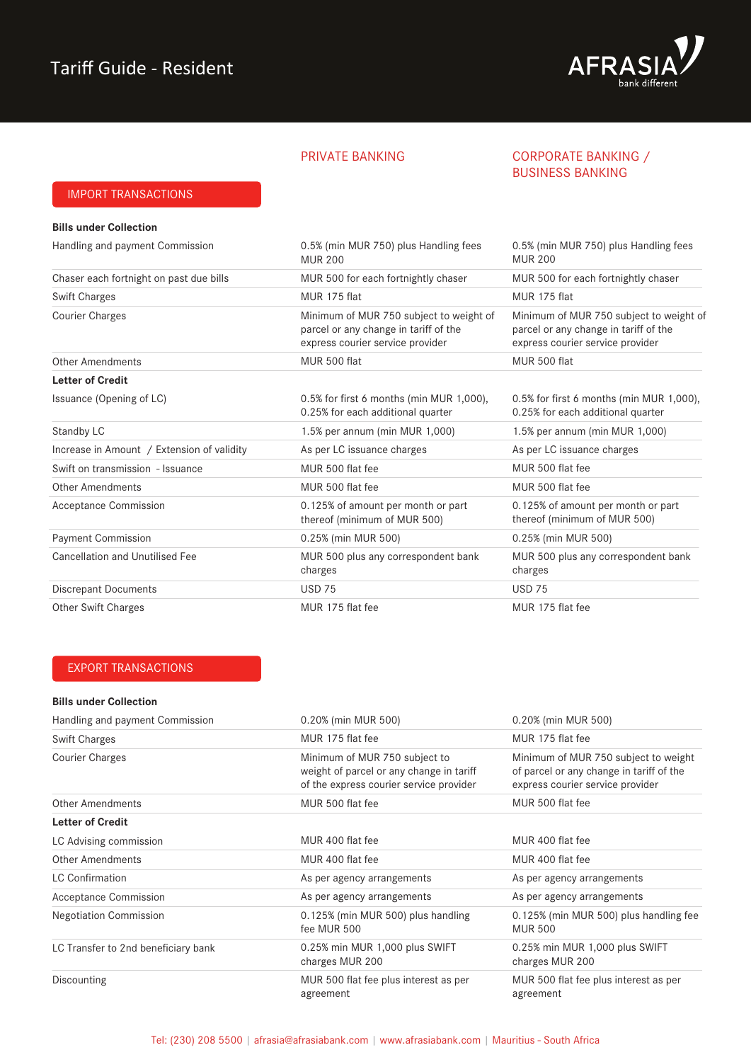

### PRIVATE BANKING CORPORATE BANKING / BUSINESS BANKING

### IMPORT TRANSACTIONS

| <b>Bills under Collection</b>              |                                                                                                                      |                                                                                                                      |
|--------------------------------------------|----------------------------------------------------------------------------------------------------------------------|----------------------------------------------------------------------------------------------------------------------|
| Handling and payment Commission            | 0.5% (min MUR 750) plus Handling fees<br><b>MUR 200</b>                                                              | 0.5% (min MUR 750) plus Handling fees<br><b>MUR 200</b>                                                              |
| Chaser each fortnight on past due bills    | MUR 500 for each fortnightly chaser                                                                                  | MUR 500 for each fortnightly chaser                                                                                  |
| <b>Swift Charges</b>                       | MUR 175 flat                                                                                                         | MUR 175 flat                                                                                                         |
| <b>Courier Charges</b>                     | Minimum of MUR 750 subject to weight of<br>parcel or any change in tariff of the<br>express courier service provider | Minimum of MUR 750 subject to weight of<br>parcel or any change in tariff of the<br>express courier service provider |
| <b>Other Amendments</b>                    | MUR 500 flat                                                                                                         | MUR 500 flat                                                                                                         |
| <b>Letter of Credit</b>                    |                                                                                                                      |                                                                                                                      |
| Issuance (Opening of LC)                   | 0.5% for first 6 months (min MUR 1,000),<br>0.25% for each additional quarter                                        | 0.5% for first 6 months (min MUR 1,000),<br>0.25% for each additional quarter                                        |
| Standby LC                                 | 1.5% per annum (min MUR 1,000)                                                                                       | 1.5% per annum (min MUR 1,000)                                                                                       |
| Increase in Amount / Extension of validity | As per LC issuance charges                                                                                           | As per LC issuance charges                                                                                           |
| Swift on transmission - Issuance           | MUR 500 flat fee                                                                                                     | MUR 500 flat fee                                                                                                     |
| <b>Other Amendments</b>                    | MUR 500 flat fee                                                                                                     | MUR 500 flat fee                                                                                                     |
| <b>Acceptance Commission</b>               | 0.125% of amount per month or part<br>thereof (minimum of MUR 500)                                                   | 0.125% of amount per month or part<br>thereof (minimum of MUR 500)                                                   |
| <b>Payment Commission</b>                  | 0.25% (min MUR 500)                                                                                                  | 0.25% (min MUR 500)                                                                                                  |
| <b>Cancellation and Unutilised Fee</b>     | MUR 500 plus any correspondent bank<br>charges                                                                       | MUR 500 plus any correspondent bank<br>charges                                                                       |
| <b>Discrepant Documents</b>                | <b>USD 75</b>                                                                                                        | <b>USD 75</b>                                                                                                        |
| <b>Other Swift Charges</b>                 | MUR 175 flat fee                                                                                                     | MUR 175 flat fee                                                                                                     |

### EXPORT TRANSACTIONS

### **Bills under Collection**

| Handling and payment Commission     | 0.20% (min MUR 500)<br>0.20% (min MUR 500)                                                                           |                                                                                                                      |
|-------------------------------------|----------------------------------------------------------------------------------------------------------------------|----------------------------------------------------------------------------------------------------------------------|
| <b>Swift Charges</b>                | MUR 175 flat fee                                                                                                     | MUR 175 flat fee                                                                                                     |
| <b>Courier Charges</b>              | Minimum of MUR 750 subject to<br>weight of parcel or any change in tariff<br>of the express courier service provider | Minimum of MUR 750 subject to weight<br>of parcel or any change in tariff of the<br>express courier service provider |
| Other Amendments                    | MUR 500 flat fee                                                                                                     | MUR 500 flat fee                                                                                                     |
| <b>Letter of Credit</b>             |                                                                                                                      |                                                                                                                      |
| LC Advising commission              | MUR 400 flat fee                                                                                                     | MUR 400 flat fee                                                                                                     |
| Other Amendments                    | MUR 400 flat fee                                                                                                     | MUR 400 flat fee                                                                                                     |
| <b>LC Confirmation</b>              | As per agency arrangements                                                                                           | As per agency arrangements                                                                                           |
| <b>Acceptance Commission</b>        | As per agency arrangements                                                                                           | As per agency arrangements                                                                                           |
| <b>Negotiation Commission</b>       | 0.125% (min MUR 500) plus handling<br>fee MUR 500                                                                    | 0.125% (min MUR 500) plus handling fee<br><b>MUR 500</b>                                                             |
| LC Transfer to 2nd beneficiary bank | 0.25% min MUR 1,000 plus SWIFT<br>charges MUR 200                                                                    | 0.25% min MUR 1,000 plus SWIFT<br>charges MUR 200                                                                    |
| Discounting                         | MUR 500 flat fee plus interest as per<br>agreement                                                                   | MUR 500 flat fee plus interest as per<br>agreement                                                                   |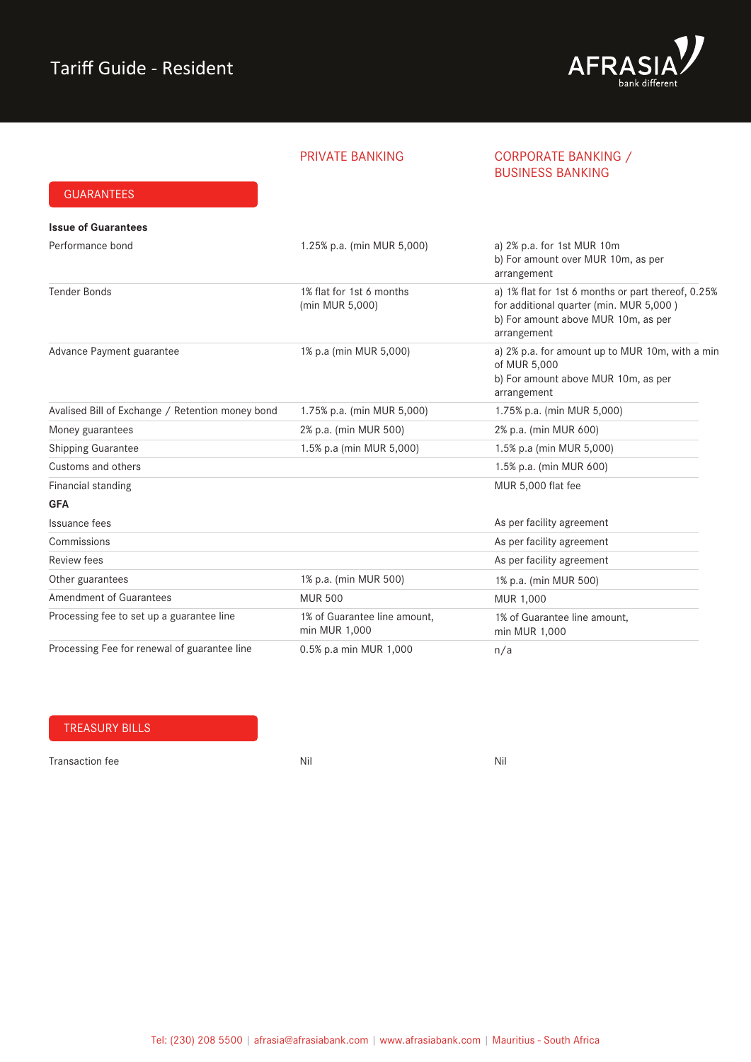GUARANTEES



### PRIVATE BANKING CORPORATE BANKING / BUSINESS BANKING

| <b>Issue of Guarantees</b>                       |                                               |                                                                                                                                                     |
|--------------------------------------------------|-----------------------------------------------|-----------------------------------------------------------------------------------------------------------------------------------------------------|
| Performance bond                                 | 1.25% p.a. (min MUR 5,000)                    | a) 2% p.a. for 1st MUR 10m<br>b) For amount over MUR 10m, as per<br>arrangement                                                                     |
| <b>Tender Bonds</b>                              | 1% flat for 1st 6 months<br>(min MUR 5,000)   | a) 1% flat for 1st 6 months or part thereof, 0.25%<br>for additional quarter (min. MUR 5,000)<br>b) For amount above MUR 10m, as per<br>arrangement |
| Advance Payment guarantee                        | 1% p.a (min MUR 5,000)                        | a) 2% p.a. for amount up to MUR 10m, with a min<br>of MUR 5,000<br>b) For amount above MUR 10m, as per<br>arrangement                               |
| Avalised Bill of Exchange / Retention money bond | 1.75% p.a. (min MUR 5,000)                    | 1.75% p.a. (min MUR 5,000)                                                                                                                          |
| Money guarantees                                 | 2% p.a. (min MUR 500)                         | 2% p.a. (min MUR 600)                                                                                                                               |
| Shipping Guarantee                               | 1.5% p.a (min MUR 5,000)                      | 1.5% p.a (min MUR 5,000)                                                                                                                            |
| Customs and others                               |                                               | 1.5% p.a. (min MUR 600)                                                                                                                             |
| Financial standing                               |                                               | MUR 5,000 flat fee                                                                                                                                  |
| <b>GFA</b>                                       |                                               |                                                                                                                                                     |
| Issuance fees                                    |                                               | As per facility agreement                                                                                                                           |
| Commissions                                      |                                               | As per facility agreement                                                                                                                           |
| <b>Review fees</b>                               |                                               | As per facility agreement                                                                                                                           |
| Other guarantees                                 | 1% p.a. (min MUR 500)                         | 1% p.a. (min MUR 500)                                                                                                                               |
| <b>Amendment of Guarantees</b>                   | <b>MUR 500</b>                                | MUR 1,000                                                                                                                                           |
| Processing fee to set up a guarantee line        | 1% of Guarantee line amount,<br>min MUR 1,000 | 1% of Guarantee line amount,<br>min MUR 1,000                                                                                                       |
| Processing Fee for renewal of guarantee line     | 0.5% p.a min MUR 1,000                        | n/a                                                                                                                                                 |

### TREASURY BILLS

Transaction fee Nil Nil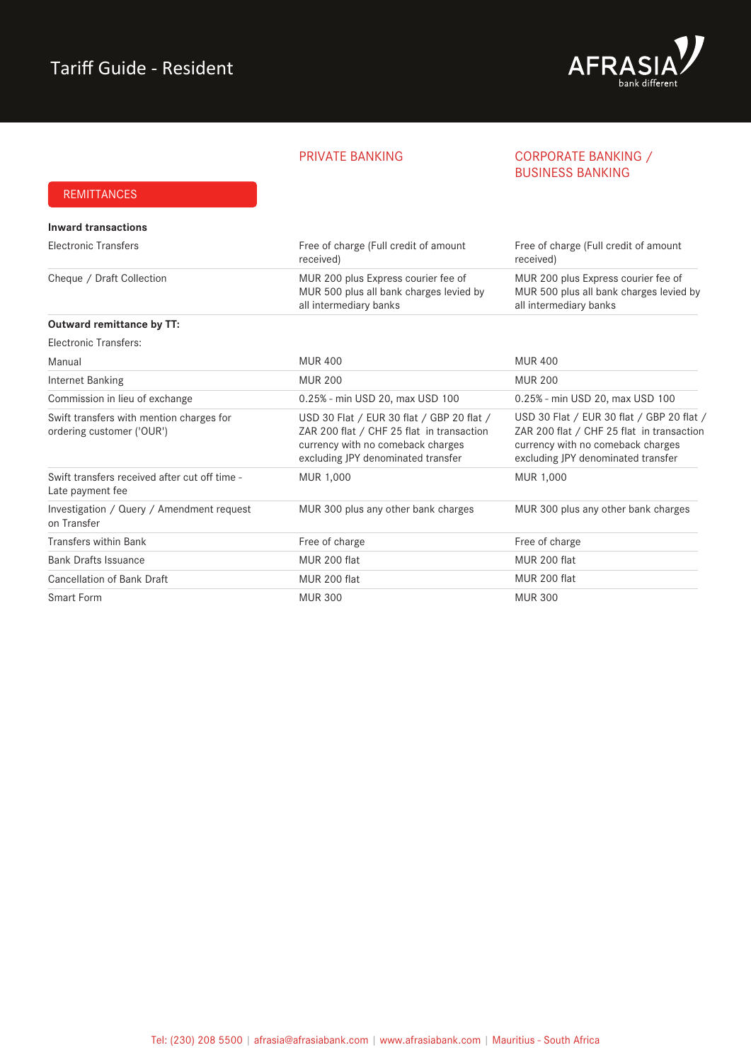

### PRIVATE BANKING CORPORATE BANKING / BUSINESS BANKING

### REMITTANCES

| Inward transactions                                                   |                                                                                                                                                                   |                                                                                                                                                                   |
|-----------------------------------------------------------------------|-------------------------------------------------------------------------------------------------------------------------------------------------------------------|-------------------------------------------------------------------------------------------------------------------------------------------------------------------|
| <b>Electronic Transfers</b>                                           | Free of charge (Full credit of amount<br>received)                                                                                                                | Free of charge (Full credit of amount<br>received)                                                                                                                |
| Cheque / Draft Collection                                             | MUR 200 plus Express courier fee of<br>MUR 500 plus all bank charges levied by<br>all intermediary banks                                                          | MUR 200 plus Express courier fee of<br>MUR 500 plus all bank charges levied by<br>all intermediary banks                                                          |
| Outward remittance by TT:                                             |                                                                                                                                                                   |                                                                                                                                                                   |
| Electronic Transfers:                                                 |                                                                                                                                                                   |                                                                                                                                                                   |
| Manual                                                                | <b>MUR 400</b>                                                                                                                                                    | <b>MUR 400</b>                                                                                                                                                    |
| Internet Banking                                                      | <b>MUR 200</b>                                                                                                                                                    | <b>MUR 200</b>                                                                                                                                                    |
| Commission in lieu of exchange                                        | 0.25% - min USD 20, max USD 100                                                                                                                                   | 0.25% - min USD 20, max USD 100                                                                                                                                   |
| Swift transfers with mention charges for<br>ordering customer ('OUR') | USD 30 Flat / EUR 30 flat / GBP 20 flat /<br>ZAR 200 flat / CHF 25 flat in transaction<br>currency with no comeback charges<br>excluding JPY denominated transfer | USD 30 Flat / EUR 30 flat / GBP 20 flat /<br>ZAR 200 flat / CHF 25 flat in transaction<br>currency with no comeback charges<br>excluding JPY denominated transfer |
| Swift transfers received after cut off time -<br>Late payment fee     | MUR 1,000                                                                                                                                                         | MUR 1,000                                                                                                                                                         |
| Investigation / Query / Amendment request<br>on Transfer              | MUR 300 plus any other bank charges                                                                                                                               | MUR 300 plus any other bank charges                                                                                                                               |
| Transfers within Bank                                                 | Free of charge                                                                                                                                                    | Free of charge                                                                                                                                                    |
| <b>Bank Drafts Issuance</b>                                           | MUR 200 flat                                                                                                                                                      | MUR 200 flat                                                                                                                                                      |
| <b>Cancellation of Bank Draft</b>                                     | MUR 200 flat                                                                                                                                                      | MUR 200 flat                                                                                                                                                      |
| Smart Form                                                            | <b>MUR 300</b>                                                                                                                                                    | <b>MUR 300</b>                                                                                                                                                    |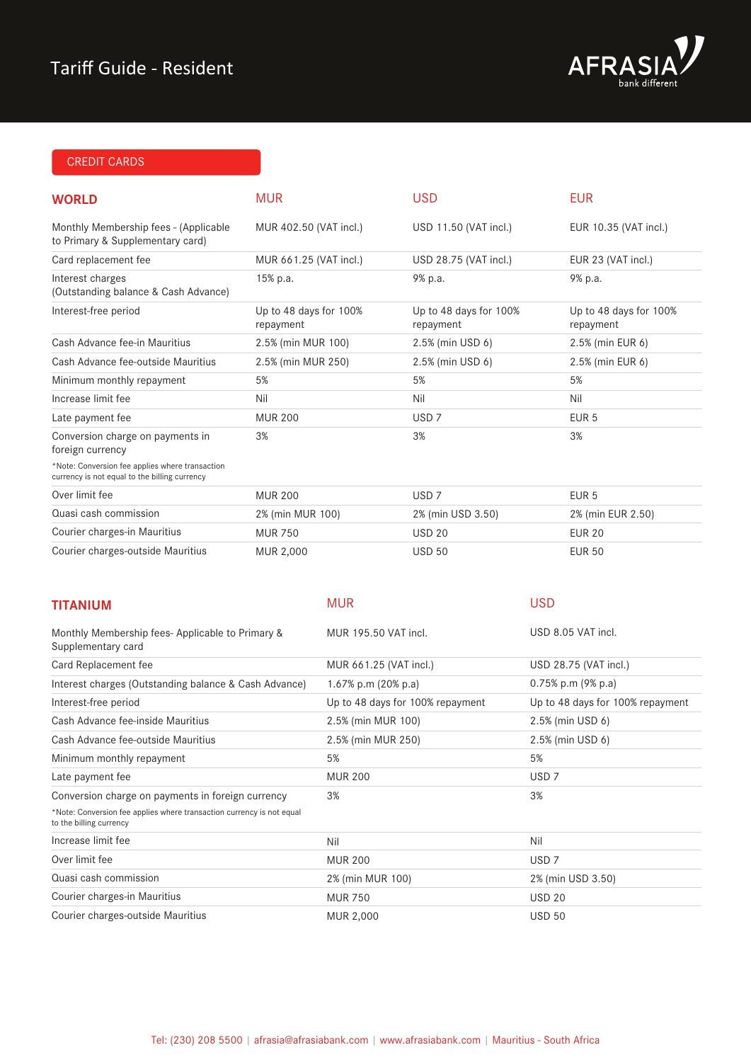# Tariff Guide - Resident



# CREDIT CARDS

| <b>WORLD</b>                                                                                     | <b>MUR</b>                          |                                  | <b>USD</b>                          |                  | <b>EUR</b>                          |
|--------------------------------------------------------------------------------------------------|-------------------------------------|----------------------------------|-------------------------------------|------------------|-------------------------------------|
| Monthly Membership fees - (Applicable<br>to Primary & Supplementary card)                        | MUR 402.50 (VAT incl.)              |                                  | USD 11.50 (VAT incl.)               |                  | EUR 10.35 (VAT incl.)               |
| Card replacement fee                                                                             | MUR 661.25 (VAT incl.)              |                                  | USD 28.75 (VAT incl.)               |                  | EUR 23 (VAT incl.)                  |
| Interest charges<br>(Outstanding balance & Cash Advance)                                         | 15% p.a.                            |                                  | 9% p.a.                             |                  | 9% p.a.                             |
| Interest-free period                                                                             | Up to 48 days for 100%<br>repayment |                                  | Up to 48 days for 100%<br>repayment |                  | Up to 48 days for 100%<br>repayment |
| Cash Advance fee-in Mauritius                                                                    | 2.5% (min MUR 100)                  |                                  | 2.5% (min USD 6)                    |                  | 2.5% (min EUR 6)                    |
| Cash Advance fee-outside Mauritius                                                               | 2.5% (min MUR 250)                  |                                  | 2.5% (min USD 6)                    |                  | 2.5% (min EUR 6)                    |
| Minimum monthly repayment                                                                        | 5%                                  |                                  | 5%                                  |                  | 5%                                  |
| Increase limit fee                                                                               | Nil                                 |                                  | Nil                                 |                  | Nil                                 |
| Late payment fee                                                                                 | <b>MUR 200</b>                      |                                  | USD <sub>7</sub>                    |                  | EUR <sub>5</sub>                    |
| Conversion charge on payments in<br>foreign currency                                             | 3%                                  |                                  | 3%                                  |                  | 3%                                  |
| *Note: Conversion fee applies where transaction<br>currency is not equal to the billing currency |                                     |                                  |                                     |                  |                                     |
| Over limit fee                                                                                   | <b>MUR 200</b>                      |                                  | USD <sub>7</sub>                    |                  | EUR <sub>5</sub>                    |
| Quasi cash commission                                                                            | 2% (min MUR 100)                    |                                  | 2% (min USD 3.50)                   |                  | 2% (min EUR 2.50)                   |
| Courier charges-in Mauritius                                                                     | <b>MUR 750</b>                      |                                  | <b>USD 20</b>                       |                  | <b>EUR 20</b>                       |
| Courier charges-outside Mauritius                                                                | MUR 2,000                           |                                  | <b>USD 50</b>                       |                  | <b>EUR 50</b>                       |
| <b>TITANIUM</b>                                                                                  |                                     | <b>MUR</b>                       |                                     | <b>USD</b>       |                                     |
| Monthly Membership fees- Applicable to Primary &<br>Supplementary card                           |                                     | MUR 195.50 VAT incl.             |                                     |                  | USD 8.05 VAT incl.                  |
| Card Replacement fee                                                                             |                                     | MUR 661.25 (VAT incl.)           |                                     |                  | USD 28.75 (VAT incl.)               |
| Interest charges (Outstanding balance & Cash Advance)                                            |                                     | 1.67% p.m (20% p.a)              |                                     |                  | 0.75% p.m (9% p.a)                  |
| Interest-free period                                                                             |                                     | Up to 48 days for 100% repayment |                                     |                  | Up to 48 days for 100% repayment    |
| Cash Advance fee-inside Mauritius                                                                |                                     | 2.5% (min MUR 100)               |                                     |                  | 2.5% (min USD 6)                    |
| Cash Advance fee-outside Mauritius                                                               |                                     | 2.5% (min MUR 250)               |                                     |                  | 2.5% (min USD 6)                    |
| Minimum monthly repayment                                                                        |                                     | 5%                               |                                     | 5%               |                                     |
| Late payment fee                                                                                 |                                     | <b>MUR 200</b>                   |                                     | USD <sub>7</sub> |                                     |
| Conversion charge on payments in foreign currency                                                |                                     | 3%                               |                                     | 3%               |                                     |
| *Note: Conversion fee applies where transaction currency is not equal<br>to the billing currency |                                     |                                  |                                     |                  |                                     |
| Increase limit fee                                                                               |                                     | Nil                              |                                     | Nil              |                                     |
| Over limit fee                                                                                   |                                     | <b>MUR 200</b>                   |                                     | USD <sub>7</sub> |                                     |
| Quasi cash commission                                                                            |                                     | 2% (min MUR 100)                 |                                     |                  | 2% (min USD 3.50)                   |
| Courier charges-in Mauritius                                                                     |                                     | <b>MUR 750</b>                   |                                     | <b>USD 20</b>    |                                     |
| Courier charges-outside Mauritius                                                                |                                     | MUR 2,000                        |                                     | <b>USD 50</b>    |                                     |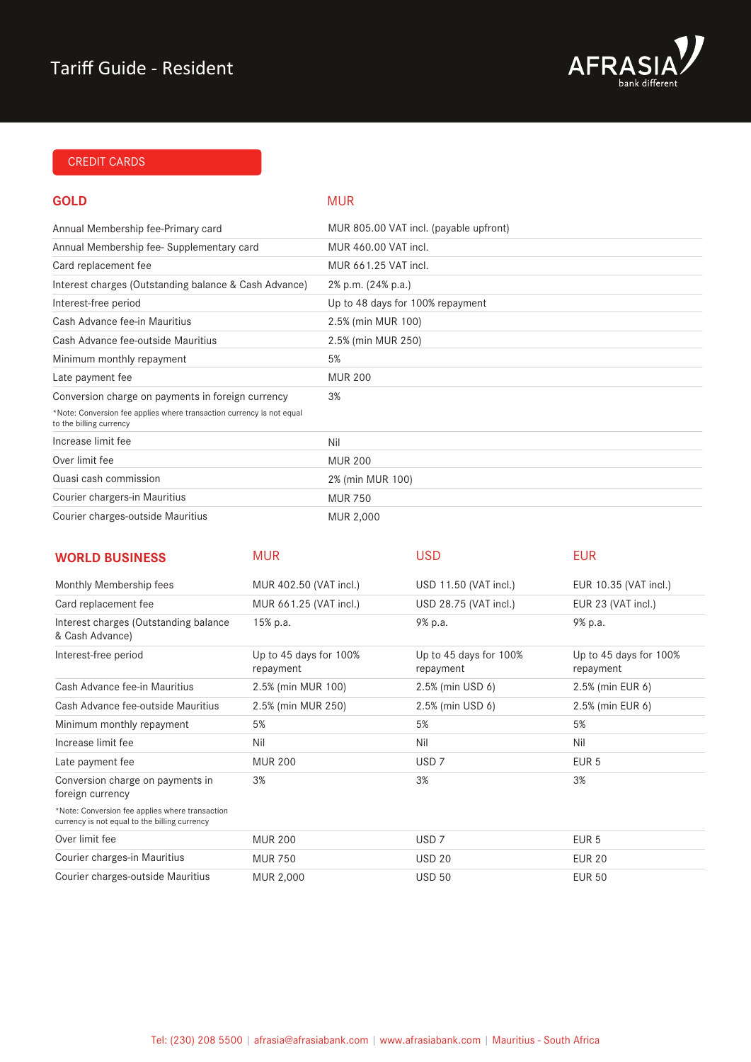

### CREDIT CARDS

### **GOLD**

### MUR

| Annual Membership fee-Primary card                                                               | MUR 805.00 VAT incl. (payable upfront) |
|--------------------------------------------------------------------------------------------------|----------------------------------------|
| Annual Membership fee-Supplementary card                                                         | MUR 460.00 VAT incl.                   |
| Card replacement fee                                                                             | MUR 661.25 VAT incl.                   |
| Interest charges (Outstanding balance & Cash Advance)                                            | 2% p.m. (24% p.a.)                     |
| Interest-free period                                                                             | Up to 48 days for 100% repayment       |
| Cash Advance fee-in Mauritius                                                                    | 2.5% (min MUR 100)                     |
| Cash Advance fee-outside Mauritius                                                               | 2.5% (min MUR 250)                     |
| Minimum monthly repayment                                                                        | 5%                                     |
| Late payment fee                                                                                 | <b>MUR 200</b>                         |
| Conversion charge on payments in foreign currency                                                | 3%                                     |
| *Note: Conversion fee applies where transaction currency is not equal<br>to the billing currency |                                        |
| Increase limit fee                                                                               | Nil                                    |
| Over limit fee                                                                                   | <b>MUR 200</b>                         |
| Quasi cash commission                                                                            | 2% (min MUR 100)                       |
| Courier chargers-in Mauritius                                                                    | <b>MUR 750</b>                         |
| Courier charges-outside Mauritius                                                                | MUR 2,000                              |

| <b>WORLD BUSINESS</b>                                                                            | <b>MUR</b>                          | <b>USD</b>                          | <b>EUR</b>                          |
|--------------------------------------------------------------------------------------------------|-------------------------------------|-------------------------------------|-------------------------------------|
| Monthly Membership fees                                                                          | MUR 402.50 (VAT incl.)              | USD 11.50 (VAT incl.)               | EUR 10.35 (VAT incl.)               |
| Card replacement fee                                                                             | MUR 661.25 (VAT incl.)              | USD 28.75 (VAT incl.)               | EUR 23 (VAT incl.)                  |
| Interest charges (Outstanding balance)<br>& Cash Advance)                                        | 15% p.a.                            | 9% p.a.                             | 9% p.a.                             |
| Interest-free period                                                                             | Up to 45 days for 100%<br>repayment | Up to 45 days for 100%<br>repayment | Up to 45 days for 100%<br>repayment |
| Cash Advance fee-in Mauritius                                                                    | 2.5% (min MUR 100)                  | 2.5% (min USD 6)                    | 2.5% (min EUR 6)                    |
| Cash Advance fee-outside Mauritius                                                               | 2.5% (min MUR 250)                  | 2.5% (min USD 6)                    | 2.5% (min EUR 6)                    |
| Minimum monthly repayment                                                                        | 5%                                  | 5%                                  | 5%                                  |
| Increase limit fee                                                                               | Nil                                 | Nil                                 | Nil                                 |
| Late payment fee                                                                                 | <b>MUR 200</b>                      | USD <sub>7</sub>                    | EUR <sub>5</sub>                    |
| Conversion charge on payments in<br>foreign currency                                             | 3%                                  | 3%                                  | 3%                                  |
| *Note: Conversion fee applies where transaction<br>currency is not equal to the billing currency |                                     |                                     |                                     |
| Over limit fee                                                                                   | <b>MUR 200</b>                      | USD <sub>7</sub>                    | EUR <sub>5</sub>                    |
| Courier charges-in Mauritius                                                                     | <b>MUR 750</b>                      | <b>USD 20</b>                       | <b>EUR 20</b>                       |
| Courier charges-outside Mauritius                                                                | MUR 2,000                           | <b>USD 50</b>                       | <b>EUR 50</b>                       |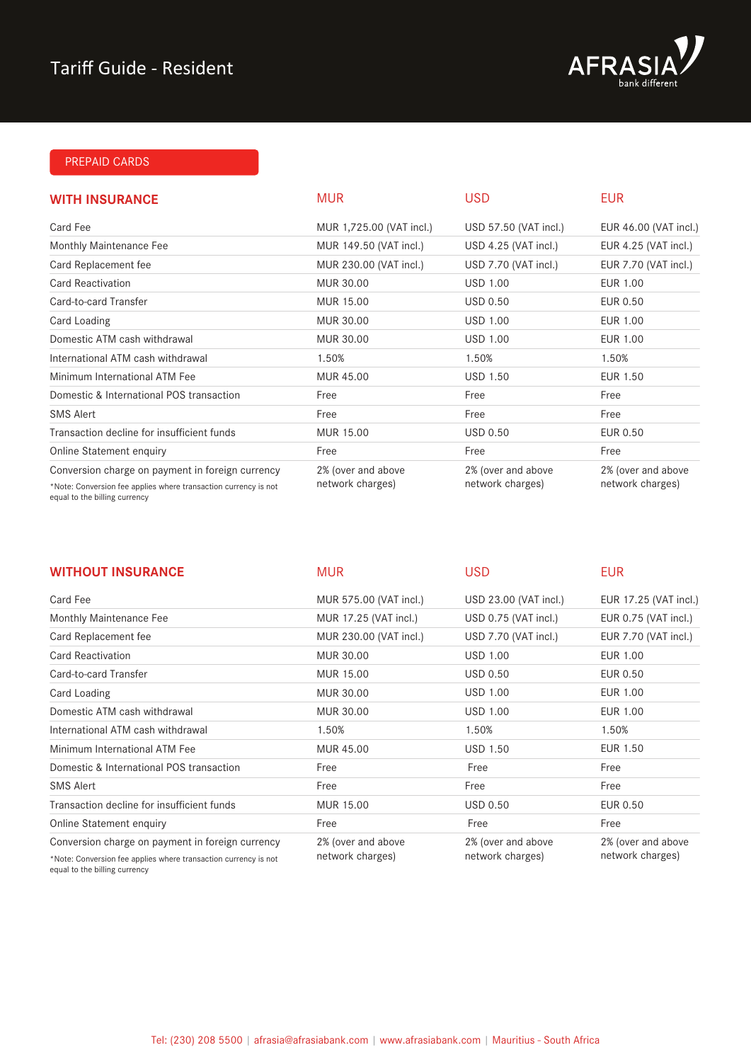

### PREPAID CARDS

| <b>WITH INSURANCE</b>                                                                                               | <b>MUR</b>                             | <b>USD</b>                             | <b>EUR</b>                             |
|---------------------------------------------------------------------------------------------------------------------|----------------------------------------|----------------------------------------|----------------------------------------|
| Card Fee                                                                                                            | MUR 1,725.00 (VAT incl.)               | USD 57.50 (VAT incl.)                  | EUR 46.00 (VAT incl.)                  |
| Monthly Maintenance Fee                                                                                             | MUR 149.50 (VAT incl.)                 | USD 4.25 (VAT incl.)                   | EUR 4.25 (VAT incl.)                   |
| Card Replacement fee                                                                                                | MUR 230.00 (VAT incl.)                 | USD 7.70 (VAT incl.)                   | EUR 7.70 (VAT incl.)                   |
| <b>Card Reactivation</b>                                                                                            | MUR 30.00                              | <b>USD 1.00</b>                        | EUR 1.00                               |
| Card-to-card Transfer                                                                                               | MUR 15.00                              | <b>USD 0.50</b>                        | EUR 0.50                               |
| Card Loading                                                                                                        | MUR 30.00                              | <b>USD 1.00</b>                        | EUR 1.00                               |
| Domestic ATM cash withdrawal                                                                                        | MUR 30.00                              | <b>USD 1.00</b>                        | EUR 1.00                               |
| International ATM cash withdrawal                                                                                   | 1.50%                                  | 1.50%                                  | 1.50%                                  |
| Minimum International ATM Fee                                                                                       | MUR 45.00                              | <b>USD 1.50</b>                        | EUR 1.50                               |
| Domestic & International POS transaction                                                                            | Free                                   | Free                                   | Free                                   |
| <b>SMS Alert</b>                                                                                                    | Free                                   | Free                                   | Free                                   |
| Transaction decline for insufficient funds                                                                          | MUR 15.00                              | <b>USD 0.50</b>                        | EUR 0.50                               |
| Online Statement enquiry                                                                                            | Free                                   | Free                                   | Free                                   |
| Conversion charge on payment in foreign currency<br>*Note: Conversion fee applies where transaction currency is not | 2% (over and above<br>network charges) | 2% (over and above<br>network charges) | 2% (over and above<br>network charges) |

equal to the billing currency

| <b>WITHOUT INSURANCE</b>                                                                         | <b>MUR</b>                             | <b>USD</b>                             | <b>EUR</b>                             |
|--------------------------------------------------------------------------------------------------|----------------------------------------|----------------------------------------|----------------------------------------|
| Card Fee                                                                                         | MUR 575.00 (VAT incl.)                 | USD 23.00 (VAT incl.)                  | EUR 17.25 (VAT incl.)                  |
| Monthly Maintenance Fee                                                                          | MUR 17.25 (VAT incl.)                  | USD 0.75 (VAT incl.)                   | EUR 0.75 (VAT incl.)                   |
| Card Replacement fee                                                                             | MUR 230.00 (VAT incl.)                 | USD 7.70 (VAT incl.)                   | EUR 7.70 (VAT incl.)                   |
| Card Reactivation                                                                                | MUR 30.00                              | <b>USD 1.00</b>                        | EUR 1.00                               |
| Card-to-card Transfer                                                                            | MUR 15.00                              | <b>USD 0.50</b>                        | EUR 0.50                               |
| Card Loading                                                                                     | MUR 30.00                              | <b>USD 1.00</b>                        | EUR 1.00                               |
| Domestic ATM cash withdrawal                                                                     | MUR 30.00                              | <b>USD 1.00</b>                        | <b>EUR 1.00</b>                        |
| International ATM cash withdrawal                                                                | 1.50%                                  | 1.50%                                  | 1.50%                                  |
| Minimum International ATM Fee                                                                    | MUR 45.00                              | <b>USD 1.50</b>                        | <b>EUR 1.50</b>                        |
| Domestic & International POS transaction                                                         | Free                                   | Free                                   | Free                                   |
| <b>SMS Alert</b>                                                                                 | Free                                   | Free                                   | Free                                   |
| Transaction decline for insufficient funds                                                       | MUR 15.00                              | <b>USD 0.50</b>                        | EUR 0.50                               |
| Online Statement enquiry                                                                         | Free                                   | Free                                   | Free                                   |
| Conversion charge on payment in foreign currency                                                 | 2% (over and above<br>network charges) | 2% (over and above<br>network charges) | 2% (over and above<br>network charges) |
| *Note: Conversion fee applies where transaction currency is not<br>equal to the billing currency |                                        |                                        |                                        |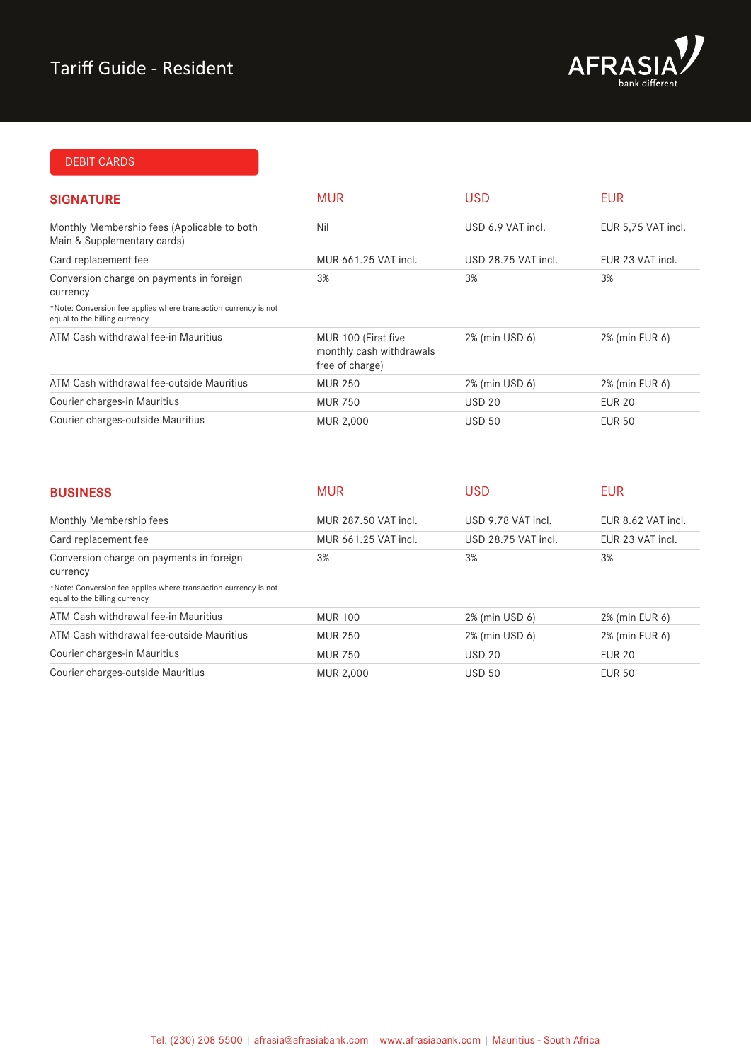

## DEBIT CARDS

| <b>SIGNATURE</b>                                                                                 | <b>MUR</b>                                                         | <b>USD</b>          | <b>EUR</b>         |
|--------------------------------------------------------------------------------------------------|--------------------------------------------------------------------|---------------------|--------------------|
| Monthly Membership fees (Applicable to both<br>Main & Supplementary cards)                       | Nil                                                                | USD 6.9 VAT incl.   | EUR 5,75 VAT incl. |
| Card replacement fee                                                                             | MUR 661.25 VAT incl.                                               | USD 28.75 VAT incl. | EUR 23 VAT incl.   |
| Conversion charge on payments in foreign<br>currency                                             | 3%                                                                 | 3%                  | 3%                 |
| *Note: Conversion fee applies where transaction currency is not<br>equal to the billing currency |                                                                    |                     |                    |
| ATM Cash withdrawal fee-in Mauritius                                                             | MUR 100 (First five<br>monthly cash withdrawals<br>free of charge) | 2% (min USD 6)      | 2% (min EUR 6)     |
| ATM Cash withdrawal fee-outside Mauritius                                                        | <b>MUR 250</b>                                                     | 2% (min USD 6)      | 2% (min EUR 6)     |
| Courier charges-in Mauritius                                                                     | <b>MUR 750</b>                                                     | <b>USD 20</b>       | <b>EUR 20</b>      |
| Courier charges-outside Mauritius                                                                | MUR 2,000                                                          | <b>USD 50</b>       | EUR 50             |

| <b>BUSINESS</b>                                                                                  | <b>MUR</b>           | <b>USD</b>          | <b>EUR</b>         |
|--------------------------------------------------------------------------------------------------|----------------------|---------------------|--------------------|
| Monthly Membership fees                                                                          | MUR 287.50 VAT incl. | USD 9.78 VAT incl.  | EUR 8.62 VAT incl. |
| Card replacement fee                                                                             | MUR 661.25 VAT incl. | USD 28.75 VAT incl. | EUR 23 VAT incl.   |
| Conversion charge on payments in foreign<br>currency                                             | 3%                   | 3%                  | 3%                 |
| *Note: Conversion fee applies where transaction currency is not<br>equal to the billing currency |                      |                     |                    |
| ATM Cash withdrawal fee-in Mauritius                                                             | <b>MUR 100</b>       | 2% (min USD 6)      | 2% (min EUR 6)     |
| ATM Cash withdrawal fee-outside Mauritius                                                        | <b>MUR 250</b>       | 2% (min USD 6)      | 2% (min EUR 6)     |
| Courier charges-in Mauritius                                                                     | <b>MUR 750</b>       | <b>USD 20</b>       | <b>EUR 20</b>      |
| Courier charges-outside Mauritius                                                                | <b>MUR 2,000</b>     | <b>USD 50</b>       | <b>EUR 50</b>      |